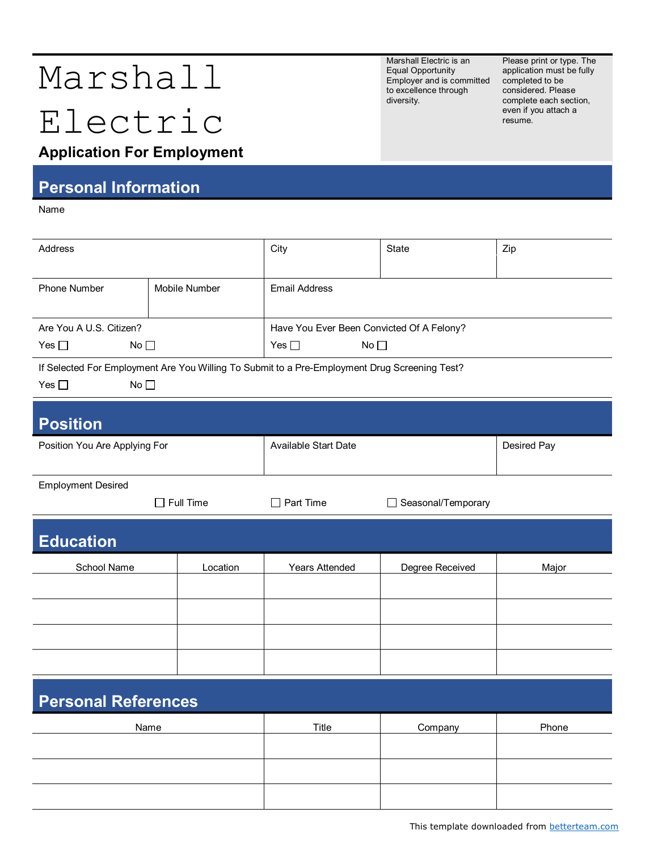## Marshall

# Electric

Marshall Electric is an Equal Opportunity Employer and is committed to excellence through diversity.

Please print or type. The application must be fully completed to be considered. Please complete each section, even if you attach a resume.

## **Application For Employment**

#### **Personal Information**

Name

| Address                                                                                       |                  | City                                      | <b>State</b>       | Zip         |  |  |
|-----------------------------------------------------------------------------------------------|------------------|-------------------------------------------|--------------------|-------------|--|--|
|                                                                                               |                  |                                           |                    |             |  |  |
| Phone Number                                                                                  | Mobile Number    | <b>Email Address</b>                      |                    |             |  |  |
|                                                                                               |                  |                                           |                    |             |  |  |
| Are You A U.S. Citizen?                                                                       |                  | Have You Ever Been Convicted Of A Felony? |                    |             |  |  |
| Yes $\square$<br>No                                                                           |                  | Yes $\square$<br>No                       |                    |             |  |  |
| If Selected For Employment Are You Willing To Submit to a Pre-Employment Drug Screening Test? |                  |                                           |                    |             |  |  |
| Yes $\square$<br>No                                                                           |                  |                                           |                    |             |  |  |
|                                                                                               |                  |                                           |                    |             |  |  |
| <b>Position</b>                                                                               |                  |                                           |                    |             |  |  |
| Position You Are Applying For                                                                 |                  | Available Start Date                      |                    | Desired Pay |  |  |
|                                                                                               |                  |                                           |                    |             |  |  |
| <b>Employment Desired</b>                                                                     |                  |                                           |                    |             |  |  |
|                                                                                               | $\Box$ Full Time | $\Box$ Part Time                          | Seasonal/Temporary |             |  |  |
|                                                                                               |                  |                                           |                    |             |  |  |
| <b>Education</b>                                                                              |                  |                                           |                    |             |  |  |
| School Name                                                                                   | Location         | <b>Years Attended</b>                     | Degree Received    | Major       |  |  |
|                                                                                               |                  |                                           |                    |             |  |  |
|                                                                                               |                  |                                           |                    |             |  |  |
|                                                                                               |                  |                                           |                    |             |  |  |
|                                                                                               |                  |                                           |                    |             |  |  |
|                                                                                               |                  |                                           |                    |             |  |  |
|                                                                                               |                  |                                           |                    |             |  |  |
| <b>Personal References</b>                                                                    |                  |                                           |                    |             |  |  |
| Name                                                                                          |                  | Title                                     | Company            | Phone       |  |  |
|                                                                                               |                  |                                           |                    |             |  |  |
|                                                                                               |                  |                                           |                    |             |  |  |
|                                                                                               |                  |                                           |                    |             |  |  |
|                                                                                               |                  |                                           |                    |             |  |  |